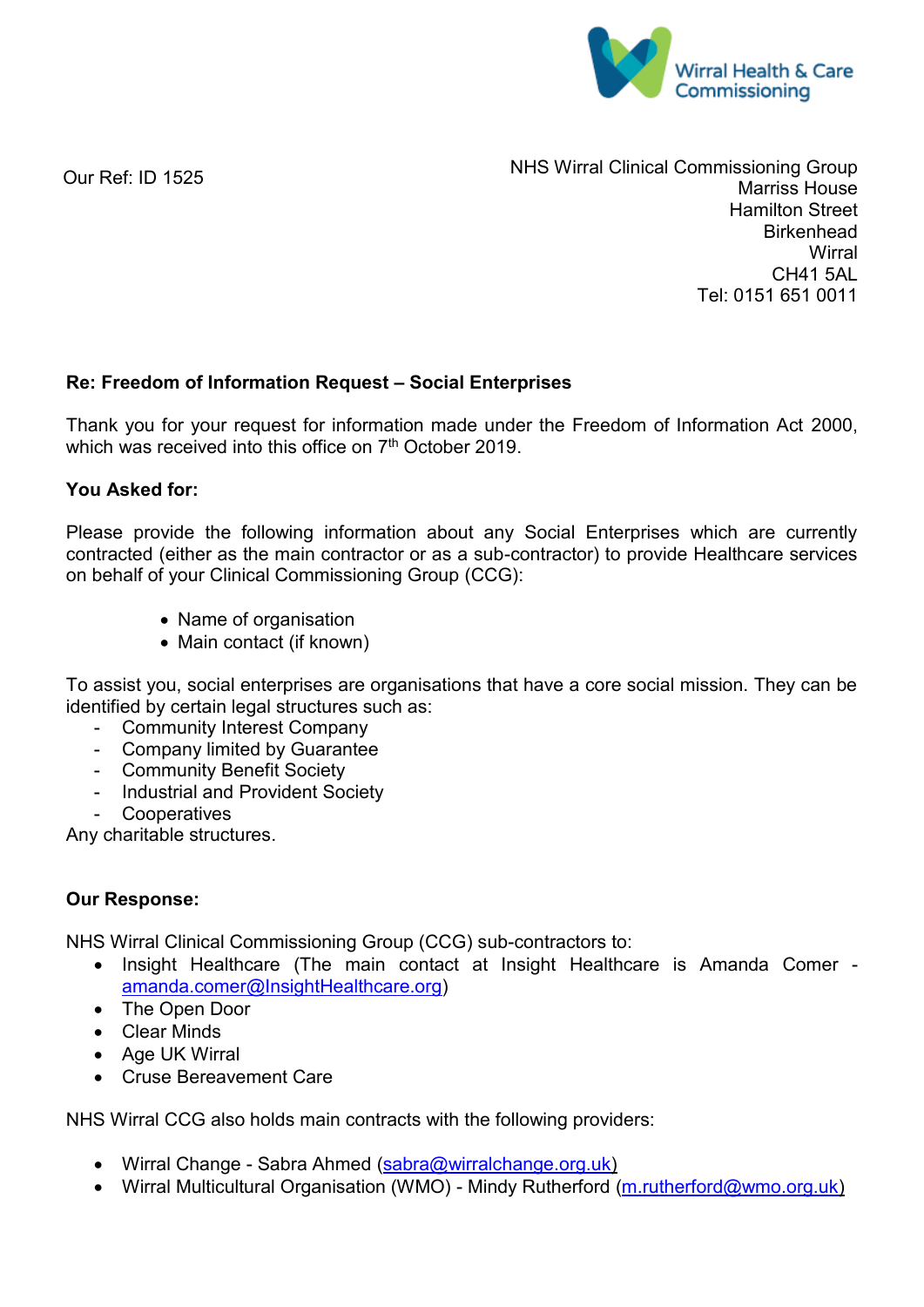

Our Ref: ID 1525

NHS Wirral Clinical Commissioning Group Marriss House Hamilton Street Birkenhead **Wirral** CH41 5AL Tel: 0151 651 0011

## **Re: Freedom of Information Request – Social Enterprises**

Thank you for your request for information made under the Freedom of Information Act 2000, which was received into this office on 7<sup>th</sup> October 2019.

## **You Asked for:**

Please provide the following information about any Social Enterprises which are currently contracted (either as the main contractor or as a sub-contractor) to provide Healthcare services on behalf of your Clinical Commissioning Group (CCG):

- Name of organisation
- Main contact (if known)

To assist you, social enterprises are organisations that have a core social mission. They can be identified by certain legal structures such as:

- Community Interest Company
- Company limited by Guarantee
- Community Benefit Society
- Industrial and Provident Society
- Cooperatives

Any charitable structures.

## **Our Response:**

NHS Wirral Clinical Commissioning Group (CCG) sub-contractors to:

- Insight Healthcare (The main contact at Insight Healthcare is Amanda Comer [amanda.comer@InsightHealthcare.org\)](mailto:amanda.comer@InsightHealthcare.org)
- The Open Door
- Clear Minds
- Age UK Wirral
- Cruse Bereavement Care

NHS Wirral CCG also holds main contracts with the following providers:

- Wirral Change Sabra Ahmed [\(sabra@wirralchange.org.uk\)](mailto:sabra@wirralchange.org.uk)
- Wirral Multicultural Organisation (WMO) Mindy Rutherford [\(m.rutherford@wmo.org.uk\)](mailto:m.rutherford@wmo.org.uk)